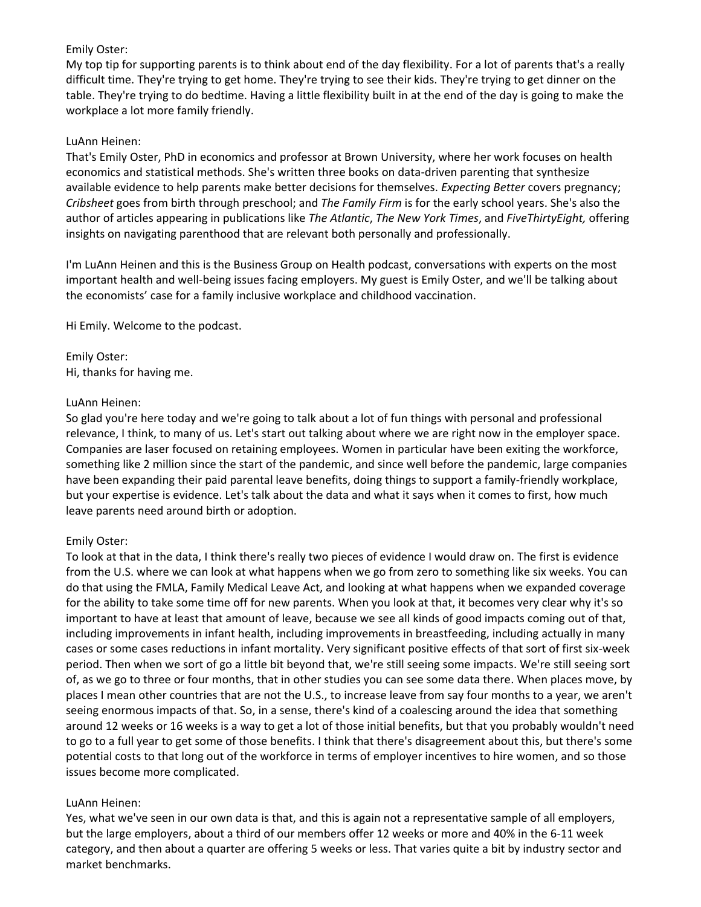My top tip for supporting parents is to think about end of the day flexibility. For a lot of parents that's a really difficult time. They're trying to get home. They're trying to see their kids. They're trying to get dinner on the table. They're trying to do bedtime. Having a little flexibility built in at the end of the day is going to make the workplace a lot more family friendly.

## LuAnn Heinen:

That's Emily Oster, PhD in economics and professor at Brown University, where her work focuses on health economics and statistical methods. She's written three books on data-driven parenting that synthesize available evidence to help parents make better decisions for themselves. *Expecting Better* covers pregnancy; *Cribsheet* goes from birth through preschool; and *The Family Firm* is for the early school years. She's also the author of articles appearing in publications like *The Atlantic*, *The New York Times*, and *FiveThirtyEight,* offering insights on navigating parenthood that are relevant both personally and professionally.

I'm LuAnn Heinen and this is the Business Group on Health podcast, conversations with experts on the most important health and well-being issues facing employers. My guest is Emily Oster, and we'll be talking about the economists' case for a family inclusive workplace and childhood vaccination.

Hi Emily. Welcome to the podcast.

Emily Oster: Hi, thanks for having me.

## LuAnn Heinen:

So glad you're here today and we're going to talk about a lot of fun things with personal and professional relevance, I think, to many of us. Let's start out talking about where we are right now in the employer space. Companies are laser focused on retaining employees. Women in particular have been exiting the workforce, something like 2 million since the start of the pandemic, and since well before the pandemic, large companies have been expanding their paid parental leave benefits, doing things to support a family-friendly workplace, but your expertise is evidence. Let's talk about the data and what it says when it comes to first, how much leave parents need around birth or adoption.

# Emily Oster:

To look at that in the data, I think there's really two pieces of evidence I would draw on. The first is evidence from the U.S. where we can look at what happens when we go from zero to something like six weeks. You can do that using the FMLA, Family Medical Leave Act, and looking at what happens when we expanded coverage for the ability to take some time off for new parents. When you look at that, it becomes very clear why it's so important to have at least that amount of leave, because we see all kinds of good impacts coming out of that, including improvements in infant health, including improvements in breastfeeding, including actually in many cases or some cases reductions in infant mortality. Very significant positive effects of that sort of first six-week period. Then when we sort of go a little bit beyond that, we're still seeing some impacts. We're still seeing sort of, as we go to three or four months, that in other studies you can see some data there. When places move, by places I mean other countries that are not the U.S., to increase leave from say four months to a year, we aren't seeing enormous impacts of that. So, in a sense, there's kind of a coalescing around the idea that something around 12 weeks or 16 weeks is a way to get a lot of those initial benefits, but that you probably wouldn't need to go to a full year to get some of those benefits. I think that there's disagreement about this, but there's some potential costs to that long out of the workforce in terms of employer incentives to hire women, and so those issues become more complicated.

# LuAnn Heinen:

Yes, what we've seen in our own data is that, and this is again not a representative sample of all employers, but the large employers, about a third of our members offer 12 weeks or more and 40% in the 6-11 week category, and then about a quarter are offering 5 weeks or less. That varies quite a bit by industry sector and market benchmarks.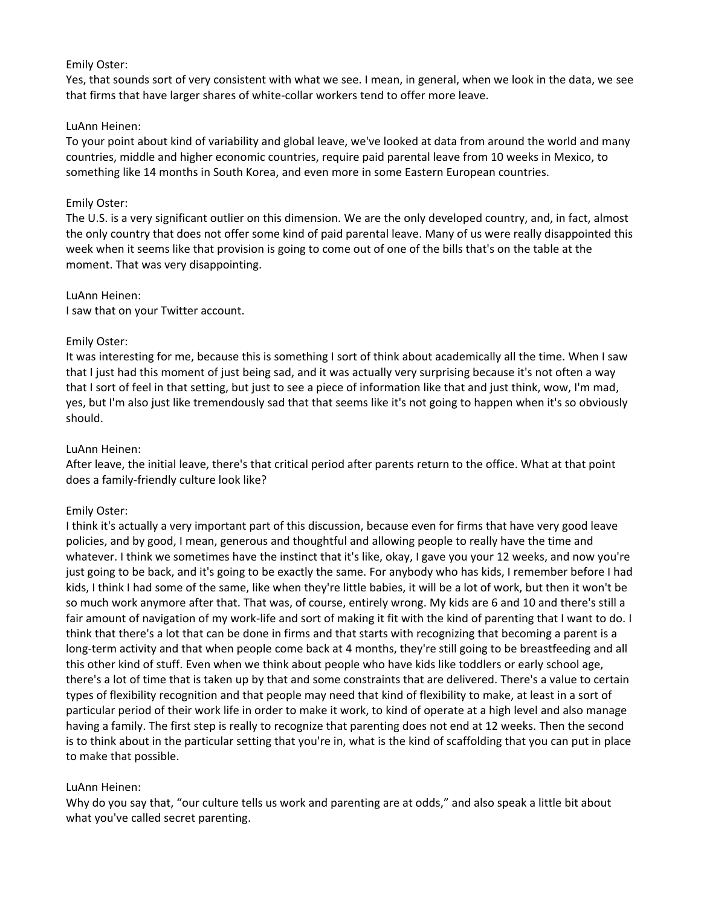Yes, that sounds sort of very consistent with what we see. I mean, in general, when we look in the data, we see that firms that have larger shares of white-collar workers tend to offer more leave.

#### LuAnn Heinen:

To your point about kind of variability and global leave, we've looked at data from around the world and many countries, middle and higher economic countries, require paid parental leave from 10 weeks in Mexico, to something like 14 months in South Korea, and even more in some Eastern European countries.

#### Emily Oster:

The U.S. is a very significant outlier on this dimension. We are the only developed country, and, in fact, almost the only country that does not offer some kind of paid parental leave. Many of us were really disappointed this week when it seems like that provision is going to come out of one of the bills that's on the table at the moment. That was very disappointing.

#### LuAnn Heinen:

I saw that on your Twitter account.

#### Emily Oster:

It was interesting for me, because this is something I sort of think about academically all the time. When I saw that I just had this moment of just being sad, and it was actually very surprising because it's not often a way that I sort of feel in that setting, but just to see a piece of information like that and just think, wow, I'm mad, yes, but I'm also just like tremendously sad that that seems like it's not going to happen when it's so obviously should.

#### LuAnn Heinen:

After leave, the initial leave, there's that critical period after parents return to the office. What at that point does a family-friendly culture look like?

## Emily Oster:

I think it's actually a very important part of this discussion, because even for firms that have very good leave policies, and by good, I mean, generous and thoughtful and allowing people to really have the time and whatever. I think we sometimes have the instinct that it's like, okay, I gave you your 12 weeks, and now you're just going to be back, and it's going to be exactly the same. For anybody who has kids, I remember before I had kids, I think I had some of the same, like when they're little babies, it will be a lot of work, but then it won't be so much work anymore after that. That was, of course, entirely wrong. My kids are 6 and 10 and there's still a fair amount of navigation of my work-life and sort of making it fit with the kind of parenting that I want to do. I think that there's a lot that can be done in firms and that starts with recognizing that becoming a parent is a long-term activity and that when people come back at 4 months, they're still going to be breastfeeding and all this other kind of stuff. Even when we think about people who have kids like toddlers or early school age, there's a lot of time that is taken up by that and some constraints that are delivered. There's a value to certain types of flexibility recognition and that people may need that kind of flexibility to make, at least in a sort of particular period of their work life in order to make it work, to kind of operate at a high level and also manage having a family. The first step is really to recognize that parenting does not end at 12 weeks. Then the second is to think about in the particular setting that you're in, what is the kind of scaffolding that you can put in place to make that possible.

## LuAnn Heinen:

Why do you say that, "our culture tells us work and parenting are at odds," and also speak a little bit about what you've called secret parenting.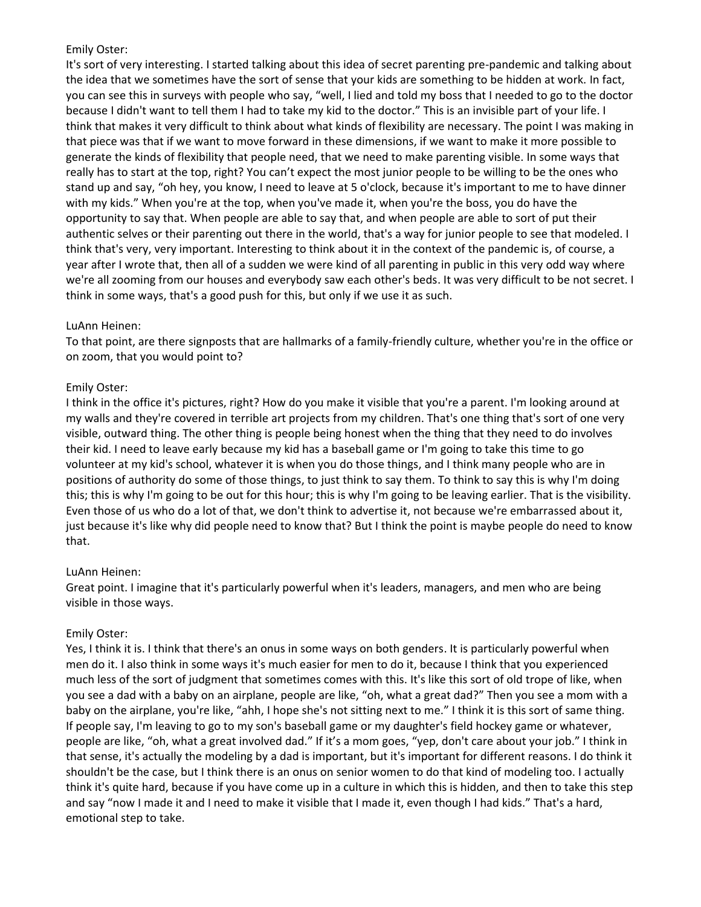It's sort of very interesting. I started talking about this idea of secret parenting pre-pandemic and talking about the idea that we sometimes have the sort of sense that your kids are something to be hidden at work. In fact, you can see this in surveys with people who say, "well, I lied and told my boss that I needed to go to the doctor because I didn't want to tell them I had to take my kid to the doctor." This is an invisible part of your life. I think that makes it very difficult to think about what kinds of flexibility are necessary. The point I was making in that piece was that if we want to move forward in these dimensions, if we want to make it more possible to generate the kinds of flexibility that people need, that we need to make parenting visible. In some ways that really has to start at the top, right? You can't expect the most junior people to be willing to be the ones who stand up and say, "oh hey, you know, I need to leave at 5 o'clock, because it's important to me to have dinner with my kids." When you're at the top, when you've made it, when you're the boss, you do have the opportunity to say that. When people are able to say that, and when people are able to sort of put their authentic selves or their parenting out there in the world, that's a way for junior people to see that modeled. I think that's very, very important. Interesting to think about it in the context of the pandemic is, of course, a year after I wrote that, then all of a sudden we were kind of all parenting in public in this very odd way where we're all zooming from our houses and everybody saw each other's beds. It was very difficult to be not secret. I think in some ways, that's a good push for this, but only if we use it as such.

## LuAnn Heinen:

To that point, are there signposts that are hallmarks of a family-friendly culture, whether you're in the office or on zoom, that you would point to?

## Emily Oster:

I think in the office it's pictures, right? How do you make it visible that you're a parent. I'm looking around at my walls and they're covered in terrible art projects from my children. That's one thing that's sort of one very visible, outward thing. The other thing is people being honest when the thing that they need to do involves their kid. I need to leave early because my kid has a baseball game or I'm going to take this time to go volunteer at my kid's school, whatever it is when you do those things, and I think many people who are in positions of authority do some of those things, to just think to say them. To think to say this is why I'm doing this; this is why I'm going to be out for this hour; this is why I'm going to be leaving earlier. That is the visibility. Even those of us who do a lot of that, we don't think to advertise it, not because we're embarrassed about it, just because it's like why did people need to know that? But I think the point is maybe people do need to know that.

# LuAnn Heinen:

Great point. I imagine that it's particularly powerful when it's leaders, managers, and men who are being visible in those ways.

# Emily Oster:

Yes, I think it is. I think that there's an onus in some ways on both genders. It is particularly powerful when men do it. I also think in some ways it's much easier for men to do it, because I think that you experienced much less of the sort of judgment that sometimes comes with this. It's like this sort of old trope of like, when you see a dad with a baby on an airplane, people are like, "oh, what a great dad?" Then you see a mom with a baby on the airplane, you're like, "ahh, I hope she's not sitting next to me." I think it is this sort of same thing. If people say, I'm leaving to go to my son's baseball game or my daughter's field hockey game or whatever, people are like, "oh, what a great involved dad." If it's a mom goes, "yep, don't care about your job." I think in that sense, it's actually the modeling by a dad is important, but it's important for different reasons. I do think it shouldn't be the case, but I think there is an onus on senior women to do that kind of modeling too. I actually think it's quite hard, because if you have come up in a culture in which this is hidden, and then to take this step and say "now I made it and I need to make it visible that I made it, even though I had kids." That's a hard, emotional step to take.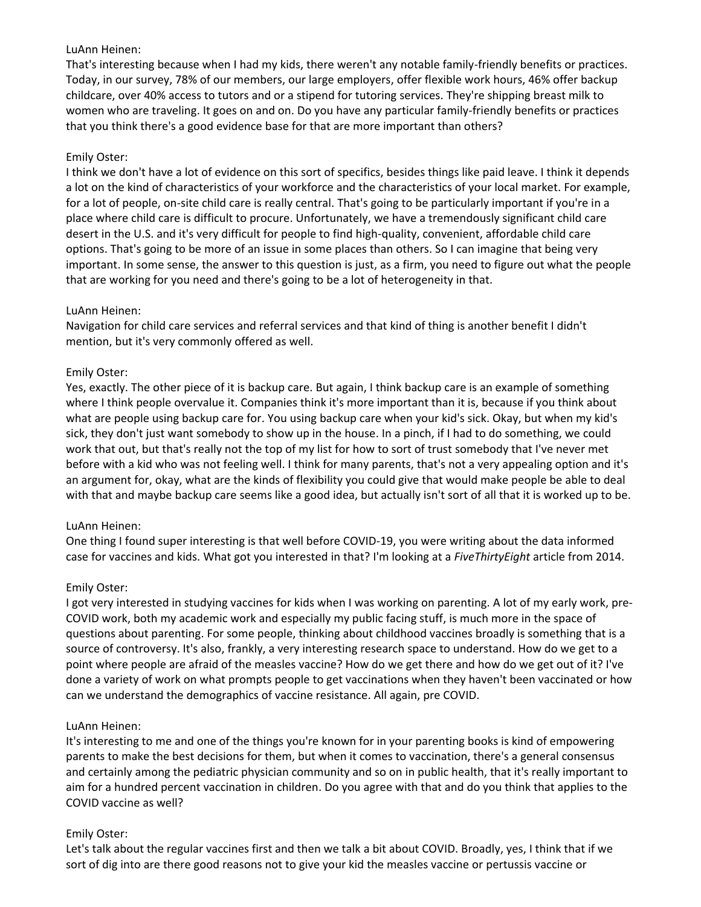## LuAnn Heinen:

That's interesting because when I had my kids, there weren't any notable family-friendly benefits or practices. Today, in our survey, 78% of our members, our large employers, offer flexible work hours, 46% offer backup childcare, over 40% access to tutors and or a stipend for tutoring services. They're shipping breast milk to women who are traveling. It goes on and on. Do you have any particular family-friendly benefits or practices that you think there's a good evidence base for that are more important than others?

# Emily Oster:

I think we don't have a lot of evidence on this sort of specifics, besides things like paid leave. I think it depends a lot on the kind of characteristics of your workforce and the characteristics of your local market. For example, for a lot of people, on-site child care is really central. That's going to be particularly important if you're in a place where child care is difficult to procure. Unfortunately, we have a tremendously significant child care desert in the U.S. and it's very difficult for people to find high-quality, convenient, affordable child care options. That's going to be more of an issue in some places than others. So I can imagine that being very important. In some sense, the answer to this question is just, as a firm, you need to figure out what the people that are working for you need and there's going to be a lot of heterogeneity in that.

## LuAnn Heinen:

Navigation for child care services and referral services and that kind of thing is another benefit I didn't mention, but it's very commonly offered as well.

## Emily Oster:

Yes, exactly. The other piece of it is backup care. But again, I think backup care is an example of something where I think people overvalue it. Companies think it's more important than it is, because if you think about what are people using backup care for. You using backup care when your kid's sick. Okay, but when my kid's sick, they don't just want somebody to show up in the house. In a pinch, if I had to do something, we could work that out, but that's really not the top of my list for how to sort of trust somebody that I've never met before with a kid who was not feeling well. I think for many parents, that's not a very appealing option and it's an argument for, okay, what are the kinds of flexibility you could give that would make people be able to deal with that and maybe backup care seems like a good idea, but actually isn't sort of all that it is worked up to be.

# LuAnn Heinen:

One thing I found super interesting is that well before COVID-19, you were writing about the data informed case for vaccines and kids. What got you interested in that? I'm looking at a *FiveThirtyEight* article from 2014.

## Emily Oster:

I got very interested in studying vaccines for kids when I was working on parenting. A lot of my early work, pre-COVID work, both my academic work and especially my public facing stuff, is much more in the space of questions about parenting. For some people, thinking about childhood vaccines broadly is something that is a source of controversy. It's also, frankly, a very interesting research space to understand. How do we get to a point where people are afraid of the measles vaccine? How do we get there and how do we get out of it? I've done a variety of work on what prompts people to get vaccinations when they haven't been vaccinated or how can we understand the demographics of vaccine resistance. All again, pre COVID.

## LuAnn Heinen:

It's interesting to me and one of the things you're known for in your parenting books is kind of empowering parents to make the best decisions for them, but when it comes to vaccination, there's a general consensus and certainly among the pediatric physician community and so on in public health, that it's really important to aim for a hundred percent vaccination in children. Do you agree with that and do you think that applies to the COVID vaccine as well?

## Emily Oster:

Let's talk about the regular vaccines first and then we talk a bit about COVID. Broadly, yes, I think that if we sort of dig into are there good reasons not to give your kid the measles vaccine or pertussis vaccine or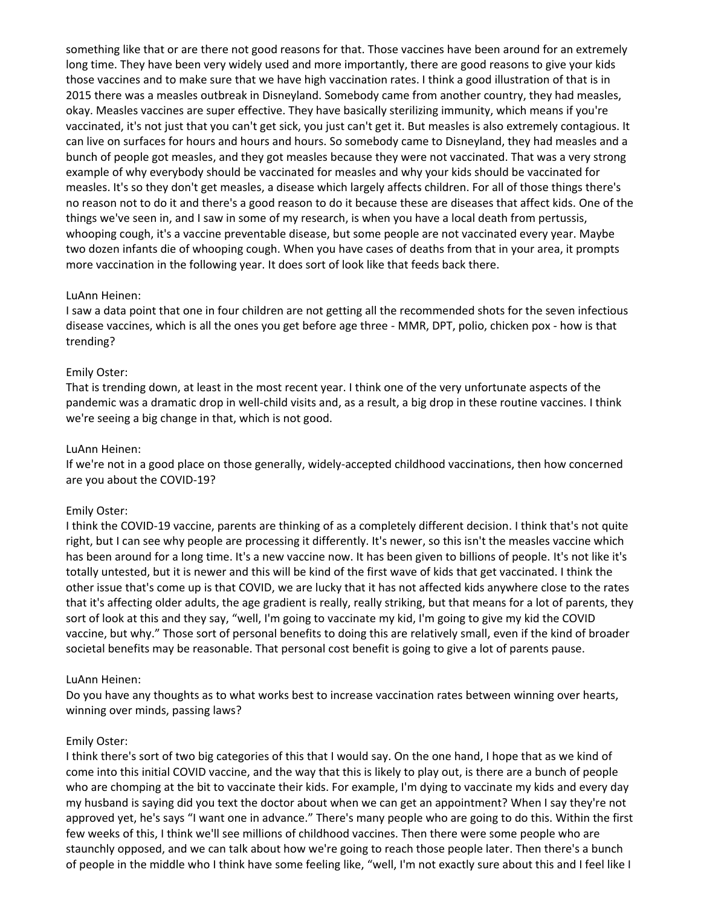something like that or are there not good reasons for that. Those vaccines have been around for an extremely long time. They have been very widely used and more importantly, there are good reasons to give your kids those vaccines and to make sure that we have high vaccination rates. I think a good illustration of that is in 2015 there was a measles outbreak in Disneyland. Somebody came from another country, they had measles, okay. Measles vaccines are super effective. They have basically sterilizing immunity, which means if you're vaccinated, it's not just that you can't get sick, you just can't get it. But measles is also extremely contagious. It can live on surfaces for hours and hours and hours. So somebody came to Disneyland, they had measles and a bunch of people got measles, and they got measles because they were not vaccinated. That was a very strong example of why everybody should be vaccinated for measles and why your kids should be vaccinated for measles. It's so they don't get measles, a disease which largely affects children. For all of those things there's no reason not to do it and there's a good reason to do it because these are diseases that affect kids. One of the things we've seen in, and I saw in some of my research, is when you have a local death from pertussis, whooping cough, it's a vaccine preventable disease, but some people are not vaccinated every year. Maybe two dozen infants die of whooping cough. When you have cases of deaths from that in your area, it prompts more vaccination in the following year. It does sort of look like that feeds back there.

#### LuAnn Heinen:

I saw a data point that one in four children are not getting all the recommended shots for the seven infectious disease vaccines, which is all the ones you get before age three - MMR, DPT, polio, chicken pox - how is that trending?

#### Emily Oster:

That is trending down, at least in the most recent year. I think one of the very unfortunate aspects of the pandemic was a dramatic drop in well-child visits and, as a result, a big drop in these routine vaccines. I think we're seeing a big change in that, which is not good.

#### LuAnn Heinen:

If we're not in a good place on those generally, widely-accepted childhood vaccinations, then how concerned are you about the COVID-19?

#### Emily Oster:

I think the COVID-19 vaccine, parents are thinking of as a completely different decision. I think that's not quite right, but I can see why people are processing it differently. It's newer, so this isn't the measles vaccine which has been around for a long time. It's a new vaccine now. It has been given to billions of people. It's not like it's totally untested, but it is newer and this will be kind of the first wave of kids that get vaccinated. I think the other issue that's come up is that COVID, we are lucky that it has not affected kids anywhere close to the rates that it's affecting older adults, the age gradient is really, really striking, but that means for a lot of parents, they sort of look at this and they say, "well, I'm going to vaccinate my kid, I'm going to give my kid the COVID vaccine, but why." Those sort of personal benefits to doing this are relatively small, even if the kind of broader societal benefits may be reasonable. That personal cost benefit is going to give a lot of parents pause.

#### LuAnn Heinen:

Do you have any thoughts as to what works best to increase vaccination rates between winning over hearts, winning over minds, passing laws?

#### Emily Oster:

I think there's sort of two big categories of this that I would say. On the one hand, I hope that as we kind of come into this initial COVID vaccine, and the way that this is likely to play out, is there are a bunch of people who are chomping at the bit to vaccinate their kids. For example, I'm dying to vaccinate my kids and every day my husband is saying did you text the doctor about when we can get an appointment? When I say they're not approved yet, he's says "I want one in advance." There's many people who are going to do this. Within the first few weeks of this, I think we'll see millions of childhood vaccines. Then there were some people who are staunchly opposed, and we can talk about how we're going to reach those people later. Then there's a bunch of people in the middle who I think have some feeling like, "well, I'm not exactly sure about this and I feel like I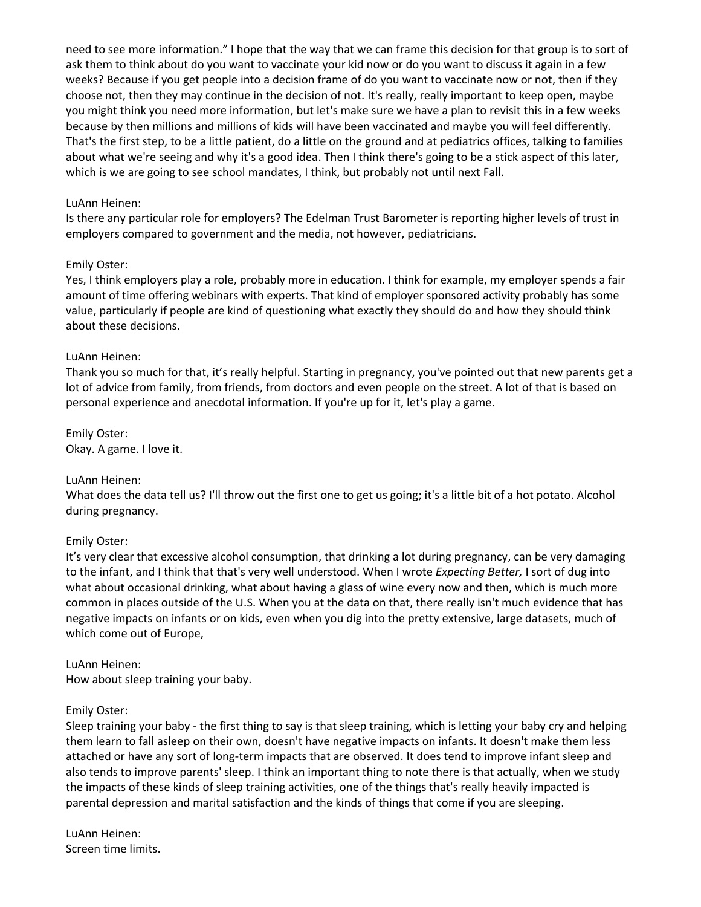need to see more information." I hope that the way that we can frame this decision for that group is to sort of ask them to think about do you want to vaccinate your kid now or do you want to discuss it again in a few weeks? Because if you get people into a decision frame of do you want to vaccinate now or not, then if they choose not, then they may continue in the decision of not. It's really, really important to keep open, maybe you might think you need more information, but let's make sure we have a plan to revisit this in a few weeks because by then millions and millions of kids will have been vaccinated and maybe you will feel differently. That's the first step, to be a little patient, do a little on the ground and at pediatrics offices, talking to families about what we're seeing and why it's a good idea. Then I think there's going to be a stick aspect of this later, which is we are going to see school mandates, I think, but probably not until next Fall.

#### LuAnn Heinen:

Is there any particular role for employers? The Edelman Trust Barometer is reporting higher levels of trust in employers compared to government and the media, not however, pediatricians.

#### Emily Oster:

Yes, I think employers play a role, probably more in education. I think for example, my employer spends a fair amount of time offering webinars with experts. That kind of employer sponsored activity probably has some value, particularly if people are kind of questioning what exactly they should do and how they should think about these decisions.

#### LuAnn Heinen:

Thank you so much for that, it's really helpful. Starting in pregnancy, you've pointed out that new parents get a lot of advice from family, from friends, from doctors and even people on the street. A lot of that is based on personal experience and anecdotal information. If you're up for it, let's play a game.

Emily Oster: Okay. A game. I love it.

#### LuAnn Heinen:

What does the data tell us? I'll throw out the first one to get us going; it's a little bit of a hot potato. Alcohol during pregnancy.

## Emily Oster:

It's very clear that excessive alcohol consumption, that drinking a lot during pregnancy, can be very damaging to the infant, and I think that that's very well understood. When I wrote *Expecting Better,* I sort of dug into what about occasional drinking, what about having a glass of wine every now and then, which is much more common in places outside of the U.S. When you at the data on that, there really isn't much evidence that has negative impacts on infants or on kids, even when you dig into the pretty extensive, large datasets, much of which come out of Europe,

#### LuAnn Heinen:

How about sleep training your baby.

#### Emily Oster:

Sleep training your baby - the first thing to say is that sleep training, which is letting your baby cry and helping them learn to fall asleep on their own, doesn't have negative impacts on infants. It doesn't make them less attached or have any sort of long-term impacts that are observed. It does tend to improve infant sleep and also tends to improve parents' sleep. I think an important thing to note there is that actually, when we study the impacts of these kinds of sleep training activities, one of the things that's really heavily impacted is parental depression and marital satisfaction and the kinds of things that come if you are sleeping.

LuAnn Heinen: Screen time limits.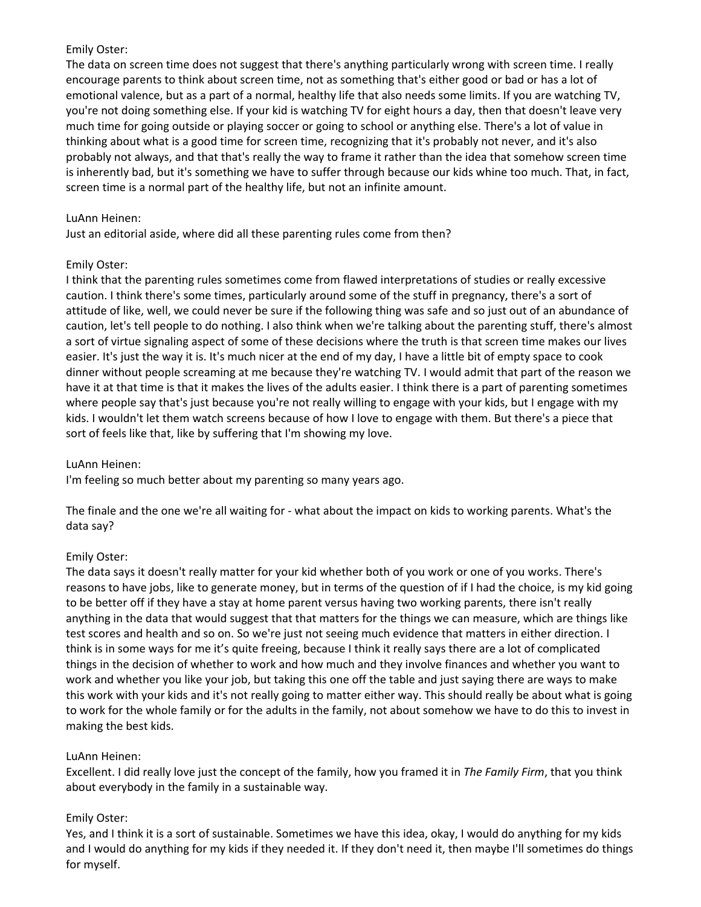The data on screen time does not suggest that there's anything particularly wrong with screen time. I really encourage parents to think about screen time, not as something that's either good or bad or has a lot of emotional valence, but as a part of a normal, healthy life that also needs some limits. If you are watching TV, you're not doing something else. If your kid is watching TV for eight hours a day, then that doesn't leave very much time for going outside or playing soccer or going to school or anything else. There's a lot of value in thinking about what is a good time for screen time, recognizing that it's probably not never, and it's also probably not always, and that that's really the way to frame it rather than the idea that somehow screen time is inherently bad, but it's something we have to suffer through because our kids whine too much. That, in fact, screen time is a normal part of the healthy life, but not an infinite amount.

## LuAnn Heinen:

Just an editorial aside, where did all these parenting rules come from then?

## Emily Oster:

I think that the parenting rules sometimes come from flawed interpretations of studies or really excessive caution. I think there's some times, particularly around some of the stuff in pregnancy, there's a sort of attitude of like, well, we could never be sure if the following thing was safe and so just out of an abundance of caution, let's tell people to do nothing. I also think when we're talking about the parenting stuff, there's almost a sort of virtue signaling aspect of some of these decisions where the truth is that screen time makes our lives easier. It's just the way it is. It's much nicer at the end of my day, I have a little bit of empty space to cook dinner without people screaming at me because they're watching TV. I would admit that part of the reason we have it at that time is that it makes the lives of the adults easier. I think there is a part of parenting sometimes where people say that's just because you're not really willing to engage with your kids, but I engage with my kids. I wouldn't let them watch screens because of how I love to engage with them. But there's a piece that sort of feels like that, like by suffering that I'm showing my love.

# LuAnn Heinen:

I'm feeling so much better about my parenting so many years ago.

The finale and the one we're all waiting for - what about the impact on kids to working parents. What's the data say?

# Emily Oster:

The data says it doesn't really matter for your kid whether both of you work or one of you works. There's reasons to have jobs, like to generate money, but in terms of the question of if I had the choice, is my kid going to be better off if they have a stay at home parent versus having two working parents, there isn't really anything in the data that would suggest that that matters for the things we can measure, which are things like test scores and health and so on. So we're just not seeing much evidence that matters in either direction. I think is in some ways for me it's quite freeing, because I think it really says there are a lot of complicated things in the decision of whether to work and how much and they involve finances and whether you want to work and whether you like your job, but taking this one off the table and just saying there are ways to make this work with your kids and it's not really going to matter either way. This should really be about what is going to work for the whole family or for the adults in the family, not about somehow we have to do this to invest in making the best kids.

## LuAnn Heinen:

Excellent. I did really love just the concept of the family, how you framed it in *The Family Firm*, that you think about everybody in the family in a sustainable way.

# Emily Oster:

Yes, and I think it is a sort of sustainable. Sometimes we have this idea, okay, I would do anything for my kids and I would do anything for my kids if they needed it. If they don't need it, then maybe I'll sometimes do things for myself.